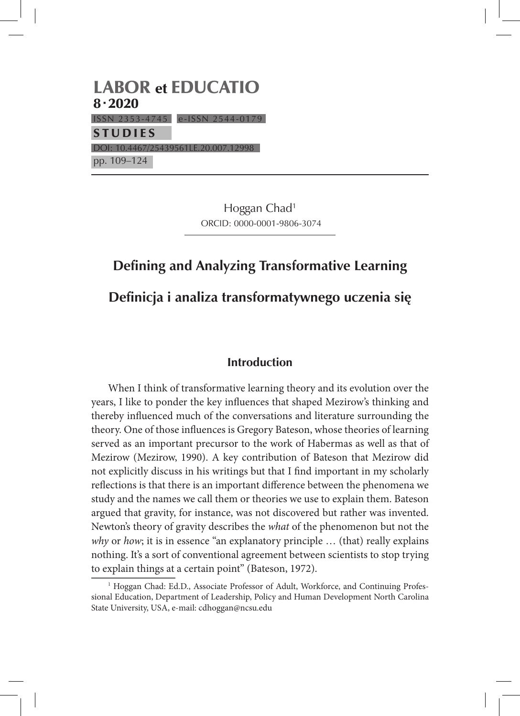## LABOR et EDUCATIO  $8.2020$ ISSN 2353-4745 e-ISSN 2544-0179 STUDIES DOI: 10.4467/25439561LE.20.007.12998 pp. 109–124

Hoggan Chad<sup>1</sup> ORCID: 0000-0001-9806-3074

# **Defining and Analyzing Transformative Learning**

## **Definicja i analiza transformatywnego uczenia się**

#### **Introduction**

When I think of transformative learning theory and its evolution over the years, I like to ponder the key influences that shaped Mezirow's thinking and thereby influenced much of the conversations and literature surrounding the theory. One of those influences is Gregory Bateson, whose theories of learning served as an important precursor to the work of Habermas as well as that of Mezirow (Mezirow, 1990). A key contribution of Bateson that Mezirow did not explicitly discuss in his writings but that I find important in my scholarly reflections is that there is an important difference between the phenomena we study and the names we call them or theories we use to explain them. Bateson argued that gravity, for instance, was not discovered but rather was invented. Newton's theory of gravity describes the *what* of the phenomenon but not the *why* or *how*; it is in essence "an explanatory principle … (that) really explains nothing. It's a sort of conventional agreement between scientists to stop trying to explain things at a certain point" (Bateson, 1972).

<sup>&</sup>lt;sup>1</sup> Hoggan Chad: Ed.D., Associate Professor of Adult, Workforce, and Continuing Professional Education, Department of Leadership, Policy and Human Development North Carolina State University, USA, e-mail: cdhoggan@ncsu.edu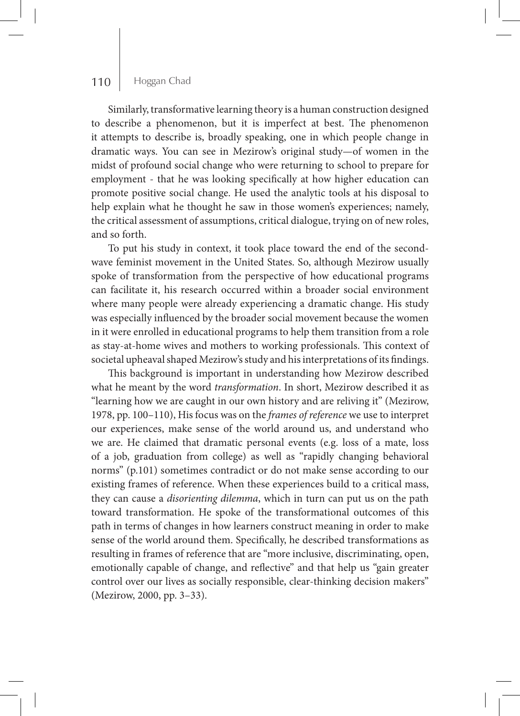### 110 | Hoggan Chad

Similarly, transformative learning theory is a human construction designed to describe a phenomenon, but it is imperfect at best. The phenomenon it attempts to describe is, broadly speaking, one in which people change in dramatic ways. You can see in Mezirow's original study—of women in the midst of profound social change who were returning to school to prepare for employment - that he was looking specifically at how higher education can promote positive social change. He used the analytic tools at his disposal to help explain what he thought he saw in those women's experiences; namely, the critical assessment of assumptions, critical dialogue, trying on of new roles, and so forth.

To put his study in context, it took place toward the end of the secondwave feminist movement in the United States. So, although Mezirow usually spoke of transformation from the perspective of how educational programs can facilitate it, his research occurred within a broader social environment where many people were already experiencing a dramatic change. His study was especially influenced by the broader social movement because the women in it were enrolled in educational programs to help them transition from a role as stay-at-home wives and mothers to working professionals. This context of societal upheaval shaped Mezirow's study and his interpretations of its findings.

This background is important in understanding how Mezirow described what he meant by the word *transformation*. In short, Mezirow described it as "learning how we are caught in our own history and are reliving it" (Mezirow, 1978, pp. 100–110), His focus was on the *frames of reference* we use to interpret our experiences, make sense of the world around us, and understand who we are. He claimed that dramatic personal events (e.g. loss of a mate, loss of a job, graduation from college) as well as "rapidly changing behavioral norms" (p.101) sometimes contradict or do not make sense according to our existing frames of reference. When these experiences build to a critical mass, they can cause a *disorienting dilemma*, which in turn can put us on the path toward transformation. He spoke of the transformational outcomes of this path in terms of changes in how learners construct meaning in order to make sense of the world around them. Specifically, he described transformations as resulting in frames of reference that are "more inclusive, discriminating, open, emotionally capable of change, and reflective" and that help us "gain greater control over our lives as socially responsible, clear-thinking decision makers" (Mezirow, 2000, pp. 3–33).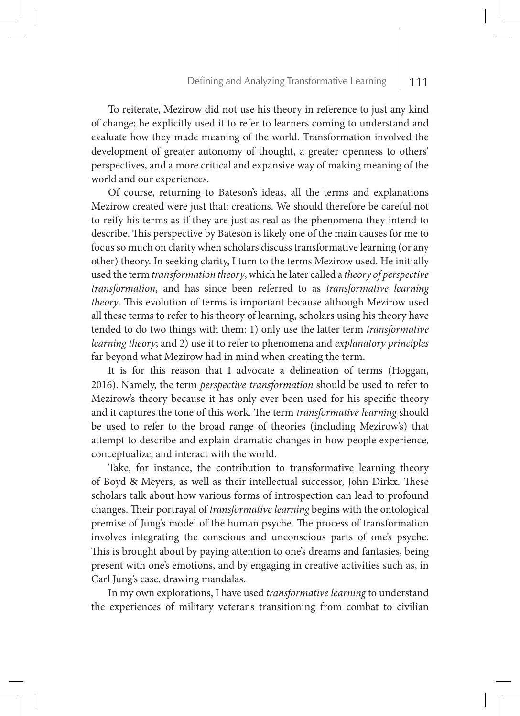To reiterate, Mezirow did not use his theory in reference to just any kind of change; he explicitly used it to refer to learners coming to understand and evaluate how they made meaning of the world. Transformation involved the development of greater autonomy of thought, a greater openness to others' perspectives, and a more critical and expansive way of making meaning of the world and our experiences.

Of course, returning to Bateson's ideas, all the terms and explanations Mezirow created were just that: creations. We should therefore be careful not to reify his terms as if they are just as real as the phenomena they intend to describe. This perspective by Bateson is likely one of the main causes for me to focus so much on clarity when scholars discuss transformative learning (or any other) theory. In seeking clarity, I turn to the terms Mezirow used. He initially used the term *transformation theory*, which he later called a *theory of perspective transformation*, and has since been referred to as *transformative learning theory*. This evolution of terms is important because although Mezirow used all these terms to refer to his theory of learning, scholars using his theory have tended to do two things with them: 1) only use the latter term *transformative learning theory*; and 2) use it to refer to phenomena and *explanatory principles* far beyond what Mezirow had in mind when creating the term.

It is for this reason that I advocate a delineation of terms (Hoggan, 2016). Namely, the term *perspective transformation* should be used to refer to Mezirow's theory because it has only ever been used for his specific theory and it captures the tone of this work. The term *transformative learning* should be used to refer to the broad range of theories (including Mezirow's) that attempt to describe and explain dramatic changes in how people experience, conceptualize, and interact with the world.

Take, for instance, the contribution to transformative learning theory of Boyd & Meyers, as well as their intellectual successor, John Dirkx. These scholars talk about how various forms of introspection can lead to profound changes. Their portrayal of *transformative learning* begins with the ontological premise of Jung's model of the human psyche. The process of transformation involves integrating the conscious and unconscious parts of one's psyche. This is brought about by paying attention to one's dreams and fantasies, being present with one's emotions, and by engaging in creative activities such as, in Carl Jung's case, drawing mandalas.

In my own explorations, I have used *transformative learning* to understand the experiences of military veterans transitioning from combat to civilian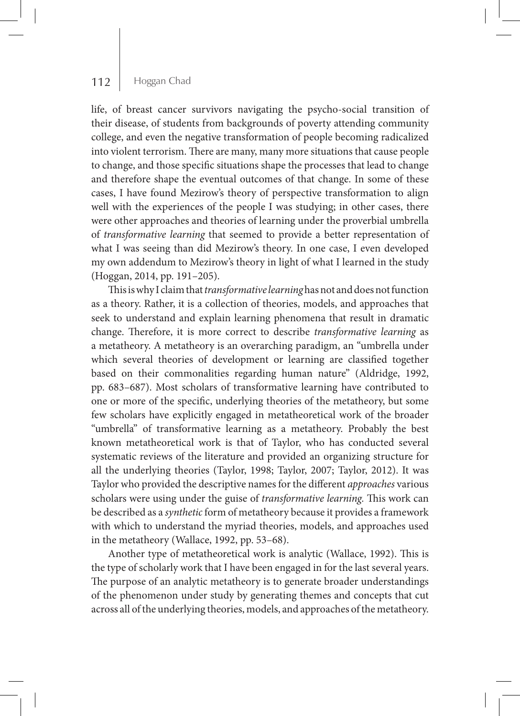life, of breast cancer survivors navigating the psycho-social transition of their disease, of students from backgrounds of poverty attending community college, and even the negative transformation of people becoming radicalized into violent terrorism. There are many, many more situations that cause people to change, and those specific situations shape the processes that lead to change and therefore shape the eventual outcomes of that change. In some of these cases, I have found Mezirow's theory of perspective transformation to align well with the experiences of the people I was studying; in other cases, there were other approaches and theories of learning under the proverbial umbrella of *transformative learning* that seemed to provide a better representation of what I was seeing than did Mezirow's theory. In one case, I even developed my own addendum to Mezirow's theory in light of what I learned in the study (Hoggan, 2014, pp. 191–205).

This is why I claim that *transformative learning* has not and does not function as a theory. Rather, it is a collection of theories, models, and approaches that seek to understand and explain learning phenomena that result in dramatic change. Therefore, it is more correct to describe *transformative learning* as a metatheory. A metatheory is an overarching paradigm, an "umbrella under which several theories of development or learning are classified together based on their commonalities regarding human nature" (Aldridge, 1992, pp. 683–687). Most scholars of transformative learning have contributed to one or more of the specific, underlying theories of the metatheory, but some few scholars have explicitly engaged in metatheoretical work of the broader "umbrella" of transformative learning as a metatheory. Probably the best known metatheoretical work is that of Taylor, who has conducted several systematic reviews of the literature and provided an organizing structure for all the underlying theories (Taylor, 1998; Taylor, 2007; Taylor, 2012). It was Taylor who provided the descriptive names for the different *approaches* various scholars were using under the guise of *transformative learning.* This work can be described as a *synthetic* form of metatheory because it provides a framework with which to understand the myriad theories, models, and approaches used in the metatheory (Wallace, 1992, pp. 53–68).

Another type of metatheoretical work is analytic (Wallace, 1992). This is the type of scholarly work that I have been engaged in for the last several years. The purpose of an analytic metatheory is to generate broader understandings of the phenomenon under study by generating themes and concepts that cut across all of the underlying theories, models, and approaches of the metatheory.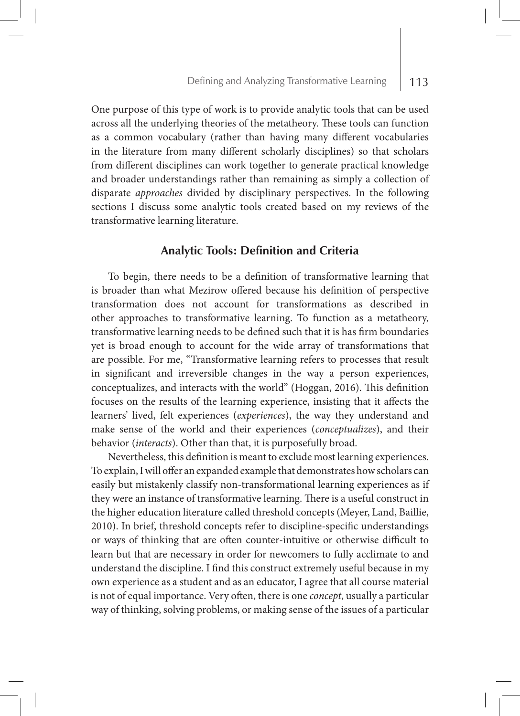One purpose of this type of work is to provide analytic tools that can be used across all the underlying theories of the metatheory. These tools can function as a common vocabulary (rather than having many different vocabularies in the literature from many different scholarly disciplines) so that scholars from different disciplines can work together to generate practical knowledge and broader understandings rather than remaining as simply a collection of disparate *approaches* divided by disciplinary perspectives. In the following sections I discuss some analytic tools created based on my reviews of the transformative learning literature.

#### **Analytic Tools: Definition and Criteria**

To begin, there needs to be a definition of transformative learning that is broader than what Mezirow offered because his definition of perspective transformation does not account for transformations as described in other approaches to transformative learning. To function as a metatheory, transformative learning needs to be defined such that it is has firm boundaries yet is broad enough to account for the wide array of transformations that are possible. For me, "Transformative learning refers to processes that result in significant and irreversible changes in the way a person experiences, conceptualizes, and interacts with the world" (Hoggan, 2016). This definition focuses on the results of the learning experience, insisting that it affects the learners' lived, felt experiences (*experiences*), the way they understand and make sense of the world and their experiences (*conceptualizes*), and their behavior (*interacts*). Other than that, it is purposefully broad.

Nevertheless, this definition is meant to exclude most learning experiences. To explain, I will offer an expanded example that demonstrates how scholars can easily but mistakenly classify non-transformational learning experiences as if they were an instance of transformative learning. There is a useful construct in the higher education literature called threshold concepts (Meyer, Land, Baillie, 2010). In brief, threshold concepts refer to discipline-specific understandings or ways of thinking that are often counter-intuitive or otherwise difficult to learn but that are necessary in order for newcomers to fully acclimate to and understand the discipline. I find this construct extremely useful because in my own experience as a student and as an educator, I agree that all course material is not of equal importance. Very often, there is one *concept*, usually a particular way of thinking, solving problems, or making sense of the issues of a particular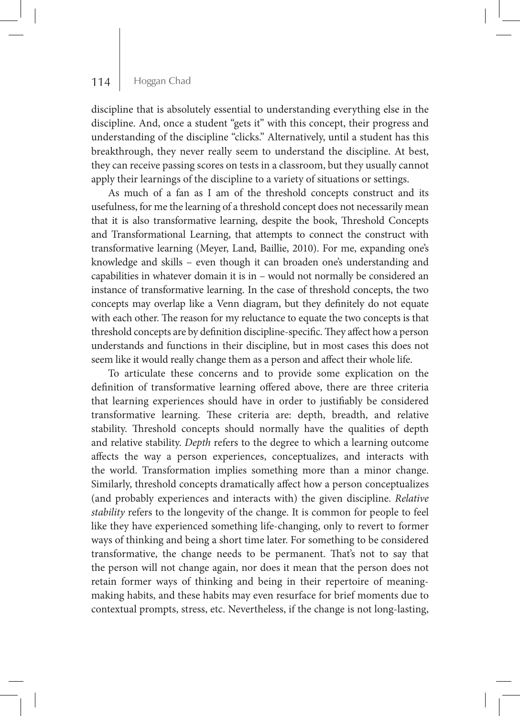discipline that is absolutely essential to understanding everything else in the discipline. And, once a student "gets it" with this concept, their progress and understanding of the discipline "clicks." Alternatively, until a student has this breakthrough, they never really seem to understand the discipline. At best, they can receive passing scores on tests in a classroom, but they usually cannot apply their learnings of the discipline to a variety of situations or settings.

As much of a fan as I am of the threshold concepts construct and its usefulness, for me the learning of a threshold concept does not necessarily mean that it is also transformative learning, despite the book, Threshold Concepts and Transformational Learning, that attempts to connect the construct with transformative learning (Meyer, Land, Baillie, 2010). For me, expanding one's knowledge and skills – even though it can broaden one's understanding and capabilities in whatever domain it is in – would not normally be considered an instance of transformative learning. In the case of threshold concepts, the two concepts may overlap like a Venn diagram, but they definitely do not equate with each other. The reason for my reluctance to equate the two concepts is that threshold concepts are by definition discipline-specific. They affect how a person understands and functions in their discipline, but in most cases this does not seem like it would really change them as a person and affect their whole life.

To articulate these concerns and to provide some explication on the definition of transformative learning offered above, there are three criteria that learning experiences should have in order to justifiably be considered transformative learning. These criteria are: depth, breadth, and relative stability. Threshold concepts should normally have the qualities of depth and relative stability. *Depth* refers to the degree to which a learning outcome affects the way a person experiences, conceptualizes, and interacts with the world. Transformation implies something more than a minor change. Similarly, threshold concepts dramatically affect how a person conceptualizes (and probably experiences and interacts with) the given discipline. *Relative stability* refers to the longevity of the change. It is common for people to feel like they have experienced something life-changing, only to revert to former ways of thinking and being a short time later. For something to be considered transformative, the change needs to be permanent. That's not to say that the person will not change again, nor does it mean that the person does not retain former ways of thinking and being in their repertoire of meaningmaking habits, and these habits may even resurface for brief moments due to contextual prompts, stress, etc. Nevertheless, if the change is not long-lasting,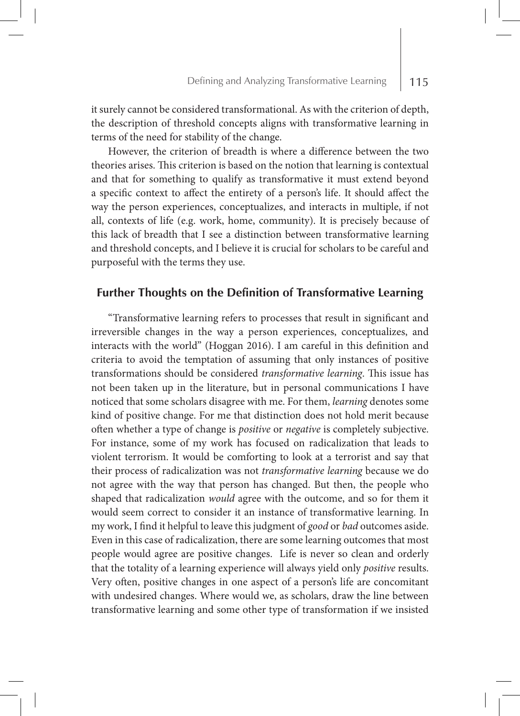it surely cannot be considered transformational. As with the criterion of depth, the description of threshold concepts aligns with transformative learning in terms of the need for stability of the change.

However, the criterion of breadth is where a difference between the two theories arises. This criterion is based on the notion that learning is contextual and that for something to qualify as transformative it must extend beyond a specific context to affect the entirety of a person's life. It should affect the way the person experiences, conceptualizes, and interacts in multiple, if not all, contexts of life (e.g. work, home, community). It is precisely because of this lack of breadth that I see a distinction between transformative learning and threshold concepts, and I believe it is crucial for scholars to be careful and purposeful with the terms they use.

#### **Further Thoughts on the Definition of Transformative Learning**

"Transformative learning refers to processes that result in significant and irreversible changes in the way a person experiences, conceptualizes, and interacts with the world" (Hoggan 2016). I am careful in this definition and criteria to avoid the temptation of assuming that only instances of positive transformations should be considered *transformative learning*. This issue has not been taken up in the literature, but in personal communications I have noticed that some scholars disagree with me. For them, *learning* denotes some kind of positive change. For me that distinction does not hold merit because often whether a type of change is *positive* or *negative* is completely subjective. For instance, some of my work has focused on radicalization that leads to violent terrorism. It would be comforting to look at a terrorist and say that their process of radicalization was not *transformative learning* because we do not agree with the way that person has changed. But then, the people who shaped that radicalization *would* agree with the outcome, and so for them it would seem correct to consider it an instance of transformative learning. In my work, I find it helpful to leave this judgment of *good* or *bad* outcomes aside. Even in this case of radicalization, there are some learning outcomes that most people would agree are positive changes. Life is never so clean and orderly that the totality of a learning experience will always yield only *positive* results. Very often, positive changes in one aspect of a person's life are concomitant with undesired changes. Where would we, as scholars, draw the line between transformative learning and some other type of transformation if we insisted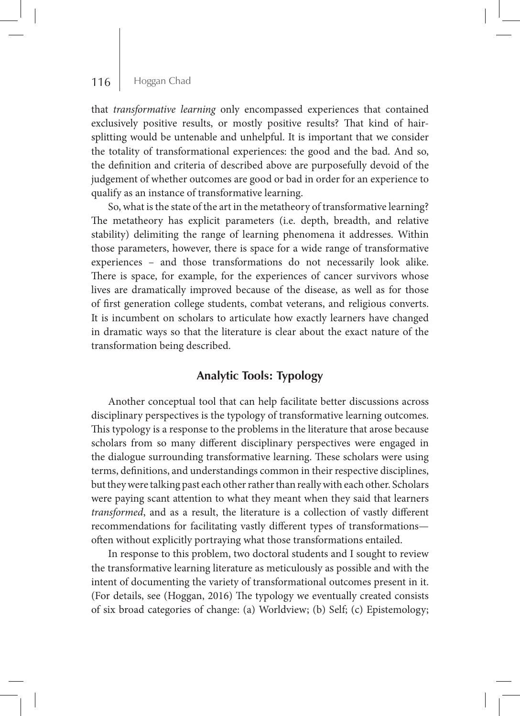#### 116 | Hoggan Chad

that *transformative learning* only encompassed experiences that contained exclusively positive results, or mostly positive results? That kind of hairsplitting would be untenable and unhelpful. It is important that we consider the totality of transformational experiences: the good and the bad. And so, the definition and criteria of described above are purposefully devoid of the judgement of whether outcomes are good or bad in order for an experience to qualify as an instance of transformative learning.

So, what is the state of the art in the metatheory of transformative learning? The metatheory has explicit parameters (i.e. depth, breadth, and relative stability) delimiting the range of learning phenomena it addresses. Within those parameters, however, there is space for a wide range of transformative experiences – and those transformations do not necessarily look alike. There is space, for example, for the experiences of cancer survivors whose lives are dramatically improved because of the disease, as well as for those of first generation college students, combat veterans, and religious converts. It is incumbent on scholars to articulate how exactly learners have changed in dramatic ways so that the literature is clear about the exact nature of the transformation being described.

## **Analytic Tools: Typology**

Another conceptual tool that can help facilitate better discussions across disciplinary perspectives is the typology of transformative learning outcomes. This typology is a response to the problems in the literature that arose because scholars from so many different disciplinary perspectives were engaged in the dialogue surrounding transformative learning. These scholars were using terms, definitions, and understandings common in their respective disciplines, but they were talking past each other rather than really with each other. Scholars were paying scant attention to what they meant when they said that learners *transformed*, and as a result, the literature is a collection of vastly different recommendations for facilitating vastly different types of transformations often without explicitly portraying what those transformations entailed.

In response to this problem, two doctoral students and I sought to review the transformative learning literature as meticulously as possible and with the intent of documenting the variety of transformational outcomes present in it. (For details, see (Hoggan, 2016) The typology we eventually created consists of six broad categories of change: (a) Worldview; (b) Self; (c) Epistemology;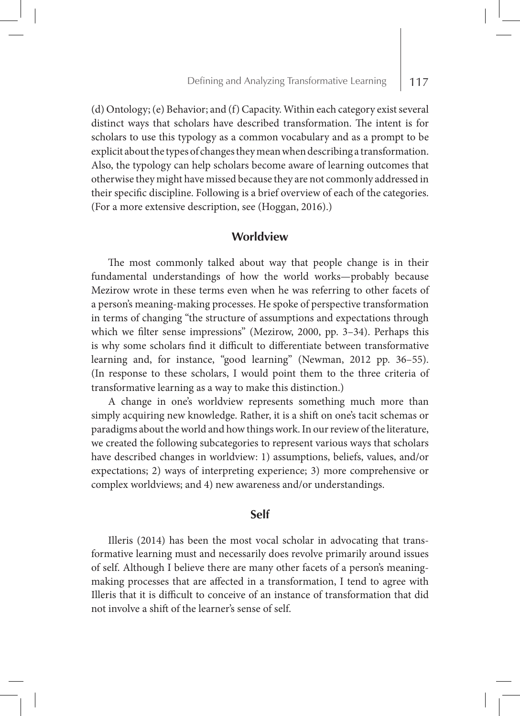(d) Ontology; (e) Behavior; and (f) Capacity. Within each category exist several distinct ways that scholars have described transformation. The intent is for scholars to use this typology as a common vocabulary and as a prompt to be explicit about the types of changes they mean when describing a transformation. Also, the typology can help scholars become aware of learning outcomes that otherwise they might have missed because they are not commonly addressed in their specific discipline. Following is a brief overview of each of the categories. (For a more extensive description, see (Hoggan, 2016).)

#### **Worldview**

The most commonly talked about way that people change is in their fundamental understandings of how the world works—probably because Mezirow wrote in these terms even when he was referring to other facets of a person's meaning-making processes. He spoke of perspective transformation in terms of changing "the structure of assumptions and expectations through which we filter sense impressions" (Mezirow, 2000, pp. 3–34). Perhaps this is why some scholars find it difficult to differentiate between transformative learning and, for instance, "good learning" (Newman, 2012 pp. 36–55). (In response to these scholars, I would point them to the three criteria of transformative learning as a way to make this distinction.)

A change in one's worldview represents something much more than simply acquiring new knowledge. Rather, it is a shift on one's tacit schemas or paradigms about the world and how things work. In our review of the literature, we created the following subcategories to represent various ways that scholars have described changes in worldview: 1) assumptions, beliefs, values, and/or expectations; 2) ways of interpreting experience; 3) more comprehensive or complex worldviews; and 4) new awareness and/or understandings.

#### **Self**

Illeris (2014) has been the most vocal scholar in advocating that transformative learning must and necessarily does revolve primarily around issues of self. Although I believe there are many other facets of a person's meaningmaking processes that are affected in a transformation, I tend to agree with Illeris that it is difficult to conceive of an instance of transformation that did not involve a shift of the learner's sense of self.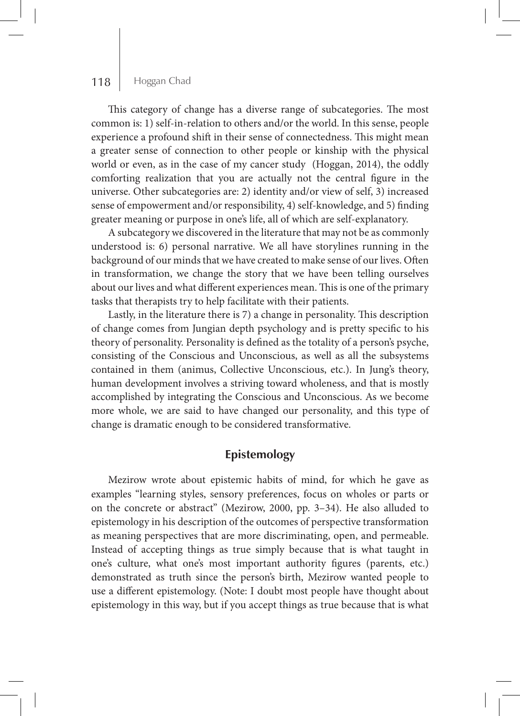This category of change has a diverse range of subcategories. The most common is: 1) self-in-relation to others and/or the world. In this sense, people experience a profound shift in their sense of connectedness. This might mean a greater sense of connection to other people or kinship with the physical world or even, as in the case of my cancer study (Hoggan, 2014), the oddly comforting realization that you are actually not the central figure in the universe. Other subcategories are: 2) identity and/or view of self, 3) increased sense of empowerment and/or responsibility, 4) self-knowledge, and 5) finding greater meaning or purpose in one's life, all of which are self-explanatory.

A subcategory we discovered in the literature that may not be as commonly understood is: 6) personal narrative. We all have storylines running in the background of our minds that we have created to make sense of our lives. Often in transformation, we change the story that we have been telling ourselves about our lives and what different experiences mean. This is one of the primary tasks that therapists try to help facilitate with their patients.

Lastly, in the literature there is 7) a change in personality. This description of change comes from Jungian depth psychology and is pretty specific to his theory of personality. Personality is defined as the totality of a person's psyche, consisting of the Conscious and Unconscious, as well as all the subsystems contained in them (animus, Collective Unconscious, etc.). In Jung's theory, human development involves a striving toward wholeness, and that is mostly accomplished by integrating the Conscious and Unconscious. As we become more whole, we are said to have changed our personality, and this type of change is dramatic enough to be considered transformative.

## **Epistemology**

Mezirow wrote about epistemic habits of mind, for which he gave as examples "learning styles, sensory preferences, focus on wholes or parts or on the concrete or abstract" (Mezirow, 2000, pp. 3–34). He also alluded to epistemology in his description of the outcomes of perspective transformation as meaning perspectives that are more discriminating, open, and permeable. Instead of accepting things as true simply because that is what taught in one's culture, what one's most important authority figures (parents, etc.) demonstrated as truth since the person's birth, Mezirow wanted people to use a different epistemology. (Note: I doubt most people have thought about epistemology in this way, but if you accept things as true because that is what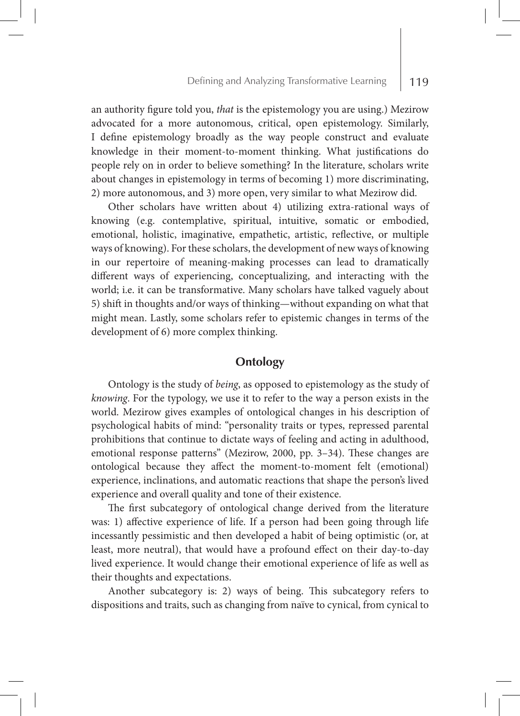an authority figure told you, *that* is the epistemology you are using.) Mezirow advocated for a more autonomous, critical, open epistemology. Similarly, I define epistemology broadly as the way people construct and evaluate knowledge in their moment-to-moment thinking. What justifications do people rely on in order to believe something? In the literature, scholars write about changes in epistemology in terms of becoming 1) more discriminating, 2) more autonomous, and 3) more open, very similar to what Mezirow did.

Other scholars have written about 4) utilizing extra-rational ways of knowing (e.g. contemplative, spiritual, intuitive, somatic or embodied, emotional, holistic, imaginative, empathetic, artistic, reflective, or multiple ways of knowing). For these scholars, the development of new ways of knowing in our repertoire of meaning-making processes can lead to dramatically different ways of experiencing, conceptualizing, and interacting with the world; i.e. it can be transformative. Many scholars have talked vaguely about 5) shift in thoughts and/or ways of thinking—without expanding on what that might mean. Lastly, some scholars refer to epistemic changes in terms of the development of 6) more complex thinking.

#### **Ontology**

Ontology is the study of *being*, as opposed to epistemology as the study of *knowing*. For the typology, we use it to refer to the way a person exists in the world. Mezirow gives examples of ontological changes in his description of psychological habits of mind: "personality traits or types, repressed parental prohibitions that continue to dictate ways of feeling and acting in adulthood, emotional response patterns" (Mezirow, 2000, pp. 3–34). These changes are ontological because they affect the moment-to-moment felt (emotional) experience, inclinations, and automatic reactions that shape the person's lived experience and overall quality and tone of their existence.

The first subcategory of ontological change derived from the literature was: 1) affective experience of life. If a person had been going through life incessantly pessimistic and then developed a habit of being optimistic (or, at least, more neutral), that would have a profound effect on their day-to-day lived experience. It would change their emotional experience of life as well as their thoughts and expectations.

Another subcategory is: 2) ways of being. This subcategory refers to dispositions and traits, such as changing from naïve to cynical, from cynical to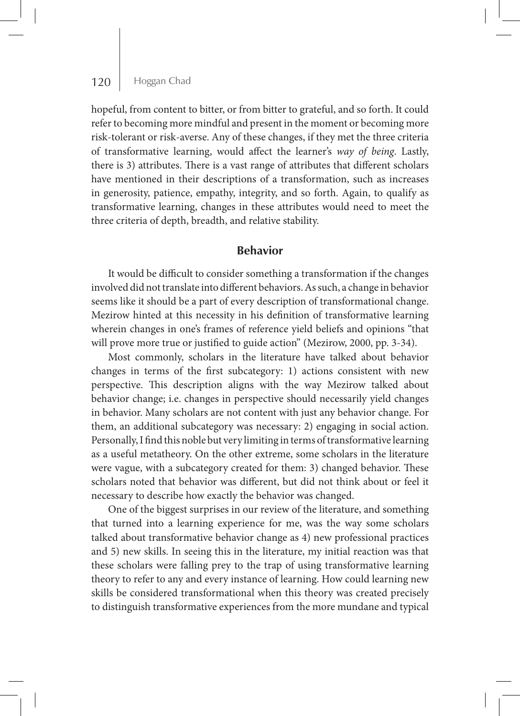hopeful, from content to bitter, or from bitter to grateful, and so forth. It could refer to becoming more mindful and present in the moment or becoming more risk-tolerant or risk-averse. Any of these changes, if they met the three criteria of transformative learning, would affect the learner's *way of being*. Lastly, there is 3) attributes. There is a vast range of attributes that different scholars have mentioned in their descriptions of a transformation, such as increases in generosity, patience, empathy, integrity, and so forth. Again, to qualify as transformative learning, changes in these attributes would need to meet the three criteria of depth, breadth, and relative stability.

#### **Behavior**

It would be difficult to consider something a transformation if the changes involved did not translate into different behaviors. As such, a change in behavior seems like it should be a part of every description of transformational change. Mezirow hinted at this necessity in his definition of transformative learning wherein changes in one's frames of reference yield beliefs and opinions "that will prove more true or justified to guide action" (Mezirow, 2000, pp. 3-34).

Most commonly, scholars in the literature have talked about behavior changes in terms of the first subcategory: 1) actions consistent with new perspective. This description aligns with the way Mezirow talked about behavior change; i.e. changes in perspective should necessarily yield changes in behavior. Many scholars are not content with just any behavior change. For them, an additional subcategory was necessary: 2) engaging in social action. Personally, I find this noble but very limiting in terms of transformative learning as a useful metatheory. On the other extreme, some scholars in the literature were vague, with a subcategory created for them: 3) changed behavior. These scholars noted that behavior was different, but did not think about or feel it necessary to describe how exactly the behavior was changed.

One of the biggest surprises in our review of the literature, and something that turned into a learning experience for me, was the way some scholars talked about transformative behavior change as 4) new professional practices and 5) new skills. In seeing this in the literature, my initial reaction was that these scholars were falling prey to the trap of using transformative learning theory to refer to any and every instance of learning. How could learning new skills be considered transformational when this theory was created precisely to distinguish transformative experiences from the more mundane and typical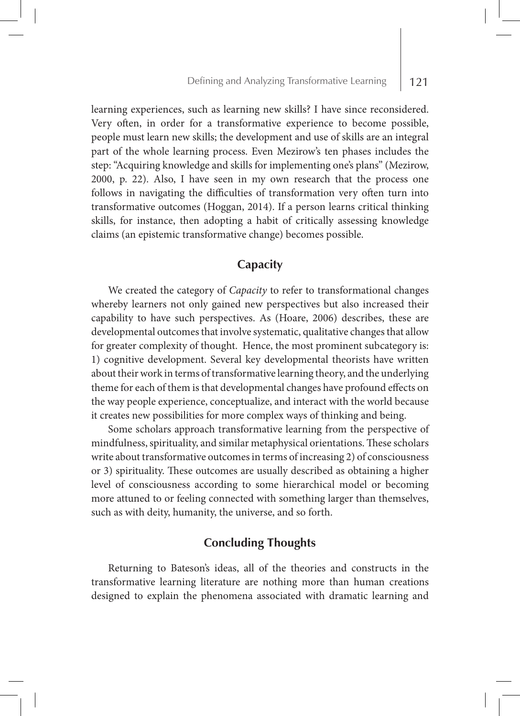learning experiences, such as learning new skills? I have since reconsidered. Very often, in order for a transformative experience to become possible, people must learn new skills; the development and use of skills are an integral part of the whole learning process. Even Mezirow's ten phases includes the step: "Acquiring knowledge and skills for implementing one's plans" (Mezirow, 2000, p. 22). Also, I have seen in my own research that the process one follows in navigating the difficulties of transformation very often turn into transformative outcomes (Hoggan, 2014). If a person learns critical thinking skills, for instance, then adopting a habit of critically assessing knowledge claims (an epistemic transformative change) becomes possible.

## **Capacity**

We created the category of *Capacity* to refer to transformational changes whereby learners not only gained new perspectives but also increased their capability to have such perspectives. As (Hoare, 2006) describes, these are developmental outcomes that involve systematic, qualitative changes that allow for greater complexity of thought. Hence, the most prominent subcategory is: 1) cognitive development. Several key developmental theorists have written about their work in terms of transformative learning theory, and the underlying theme for each of them is that developmental changes have profound effects on the way people experience, conceptualize, and interact with the world because it creates new possibilities for more complex ways of thinking and being.

Some scholars approach transformative learning from the perspective of mindfulness, spirituality, and similar metaphysical orientations. These scholars write about transformative outcomes in terms of increasing 2) of consciousness or 3) spirituality. These outcomes are usually described as obtaining a higher level of consciousness according to some hierarchical model or becoming more attuned to or feeling connected with something larger than themselves, such as with deity, humanity, the universe, and so forth.

## **Concluding Thoughts**

Returning to Bateson's ideas, all of the theories and constructs in the transformative learning literature are nothing more than human creations designed to explain the phenomena associated with dramatic learning and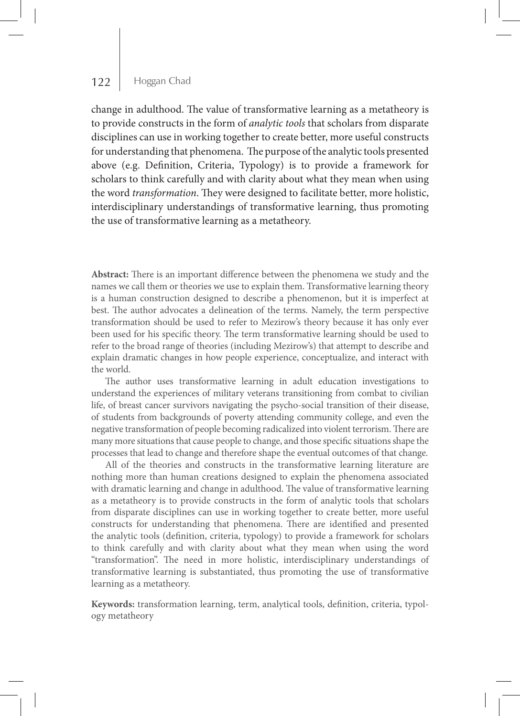### 122 | Hoggan Chad

change in adulthood. The value of transformative learning as a metatheory is to provide constructs in the form of *analytic tools* that scholars from disparate disciplines can use in working together to create better, more useful constructs for understanding that phenomena. The purpose of the analytic tools presented above (e.g. Definition, Criteria, Typology) is to provide a framework for scholars to think carefully and with clarity about what they mean when using the word *transformation*. They were designed to facilitate better, more holistic, interdisciplinary understandings of transformative learning, thus promoting the use of transformative learning as a metatheory.

**Abstract:** There is an important difference between the phenomena we study and the names we call them or theories we use to explain them. Transformative learning theory is a human construction designed to describe a phenomenon, but it is imperfect at best. The author advocates a delineation of the terms. Namely, the term perspective transformation should be used to refer to Mezirow's theory because it has only ever been used for his specific theory. The term transformative learning should be used to refer to the broad range of theories (including Mezirow's) that attempt to describe and explain dramatic changes in how people experience, conceptualize, and interact with the world.

The author uses transformative learning in adult education investigations to understand the experiences of military veterans transitioning from combat to civilian life, of breast cancer survivors navigating the psycho-social transition of their disease, of students from backgrounds of poverty attending community college, and even the negative transformation of people becoming radicalized into violent terrorism. There are many more situations that cause people to change, and those specific situations shape the processes that lead to change and therefore shape the eventual outcomes of that change.

All of the theories and constructs in the transformative learning literature are nothing more than human creations designed to explain the phenomena associated with dramatic learning and change in adulthood. The value of transformative learning as a metatheory is to provide constructs in the form of analytic tools that scholars from disparate disciplines can use in working together to create better, more useful constructs for understanding that phenomena. There are identified and presented the analytic tools (definition, criteria, typology) to provide a framework for scholars to think carefully and with clarity about what they mean when using the word "transformation". The need in more holistic, interdisciplinary understandings of transformative learning is substantiated, thus promoting the use of transformative learning as a metatheory.

**Keywords:** transformation learning, term, analytical tools, definition, criteria, typology metatheory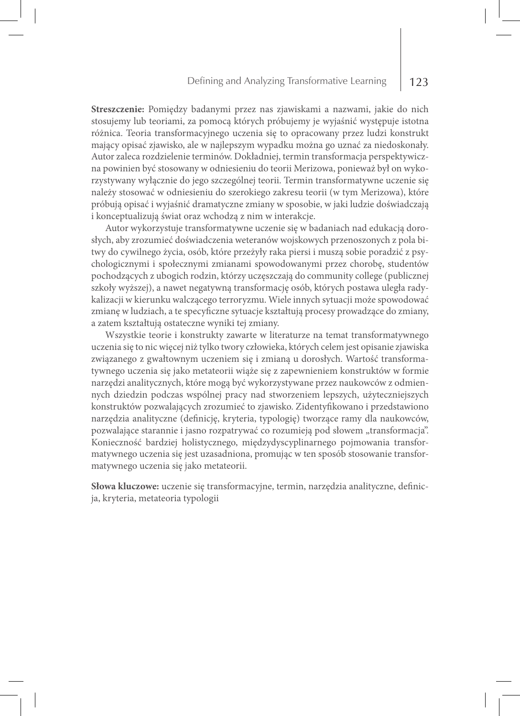**Streszczenie:** Pomiędzy badanymi przez nas zjawiskami a nazwami, jakie do nich stosujemy lub teoriami, za pomocą których próbujemy je wyjaśnić występuje istotna różnica. Teoria transformacyjnego uczenia się to opracowany przez ludzi konstrukt mający opisać zjawisko, ale w najlepszym wypadku można go uznać za niedoskonały. Autor zaleca rozdzielenie terminów. Dokładniej, termin transformacja perspektywiczna powinien być stosowany w odniesieniu do teorii Merizowa, ponieważ był on wykorzystywany wyłącznie do jego szczególnej teorii. Termin transformatywne uczenie się należy stosować w odniesieniu do szerokiego zakresu teorii (w tym Merizowa), które próbują opisać i wyjaśnić dramatyczne zmiany w sposobie, w jaki ludzie doświadczają i konceptualizują świat oraz wchodzą z nim w interakcje.

Autor wykorzystuje transformatywne uczenie się w badaniach nad edukacją dorosłych, aby zrozumieć doświadczenia weteranów wojskowych przenoszonych z pola bitwy do cywilnego życia, osób, które przeżyły raka piersi i muszą sobie poradzić z psychologicznymi i społecznymi zmianami spowodowanymi przez chorobę, studentów pochodzących z ubogich rodzin, którzy uczęszczają do community college (publicznej szkoły wyższej), a nawet negatywną transformację osób, których postawa uległa radykalizacji w kierunku walczącego terroryzmu. Wiele innych sytuacji może spowodować zmianę w ludziach, a te specyficzne sytuacje kształtują procesy prowadzące do zmiany, a zatem kształtują ostateczne wyniki tej zmiany.

Wszystkie teorie i konstrukty zawarte w literaturze na temat transformatywnego uczenia się to nic więcej niż tylko twory człowieka, których celem jest opisanie zjawiska związanego z gwałtownym uczeniem się i zmianą u dorosłych. Wartość transformatywnego uczenia się jako metateorii wiąże się z zapewnieniem konstruktów w formie narzędzi analitycznych, które mogą być wykorzystywane przez naukowców z odmiennych dziedzin podczas wspólnej pracy nad stworzeniem lepszych, użyteczniejszych konstruktów pozwalających zrozumieć to zjawisko. Zidentyfikowano i przedstawiono narzędzia analityczne (definicję, kryteria, typologię) tworzące ramy dla naukowców, pozwalające starannie i jasno rozpatrywać co rozumieją pod słowem "transformacja". Konieczność bardziej holistycznego, międzydyscyplinarnego pojmowania transformatywnego uczenia się jest uzasadniona, promując w ten sposób stosowanie transformatywnego uczenia się jako metateorii.

**Słowa kluczowe:** uczenie się transformacyjne, termin, narzędzia analityczne, definicja, kryteria, metateoria typologii